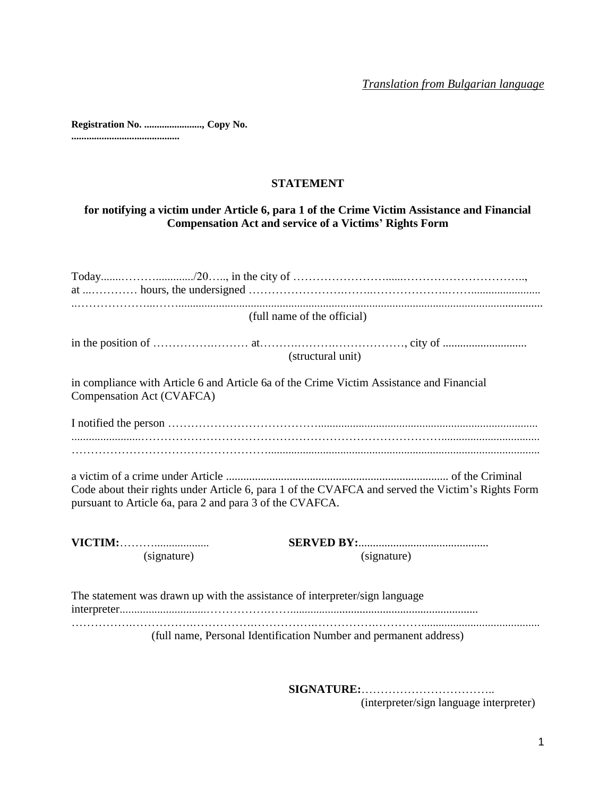**Registration No. ......................., Copy No. ...........................................** 

## **STATEMENT**

## **for notifying a victim under Article 6, para 1 of the Crime Victim Assistance and Financial Compensation Act and service of a Victims' Rights Form**

| (full name of the official)                                                                                                                                   |
|---------------------------------------------------------------------------------------------------------------------------------------------------------------|
| (structural unit)                                                                                                                                             |
| in compliance with Article 6 and Article 6a of the Crime Victim Assistance and Financial<br>Compensation Act (CVAFCA)                                         |
|                                                                                                                                                               |
|                                                                                                                                                               |
| Code about their rights under Article 6, para 1 of the CVAFCA and served the Victim's Rights Form<br>pursuant to Article 6a, para 2 and para 3 of the CVAFCA. |
| (signature)<br>(signature)                                                                                                                                    |
| The statement was drawn up with the assistance of interpreter/sign language                                                                                   |
| (full name, Personal Identification Number and permanent address)                                                                                             |

**SIGNATURE:**……………………………..

(interpreter/sign language interpreter)